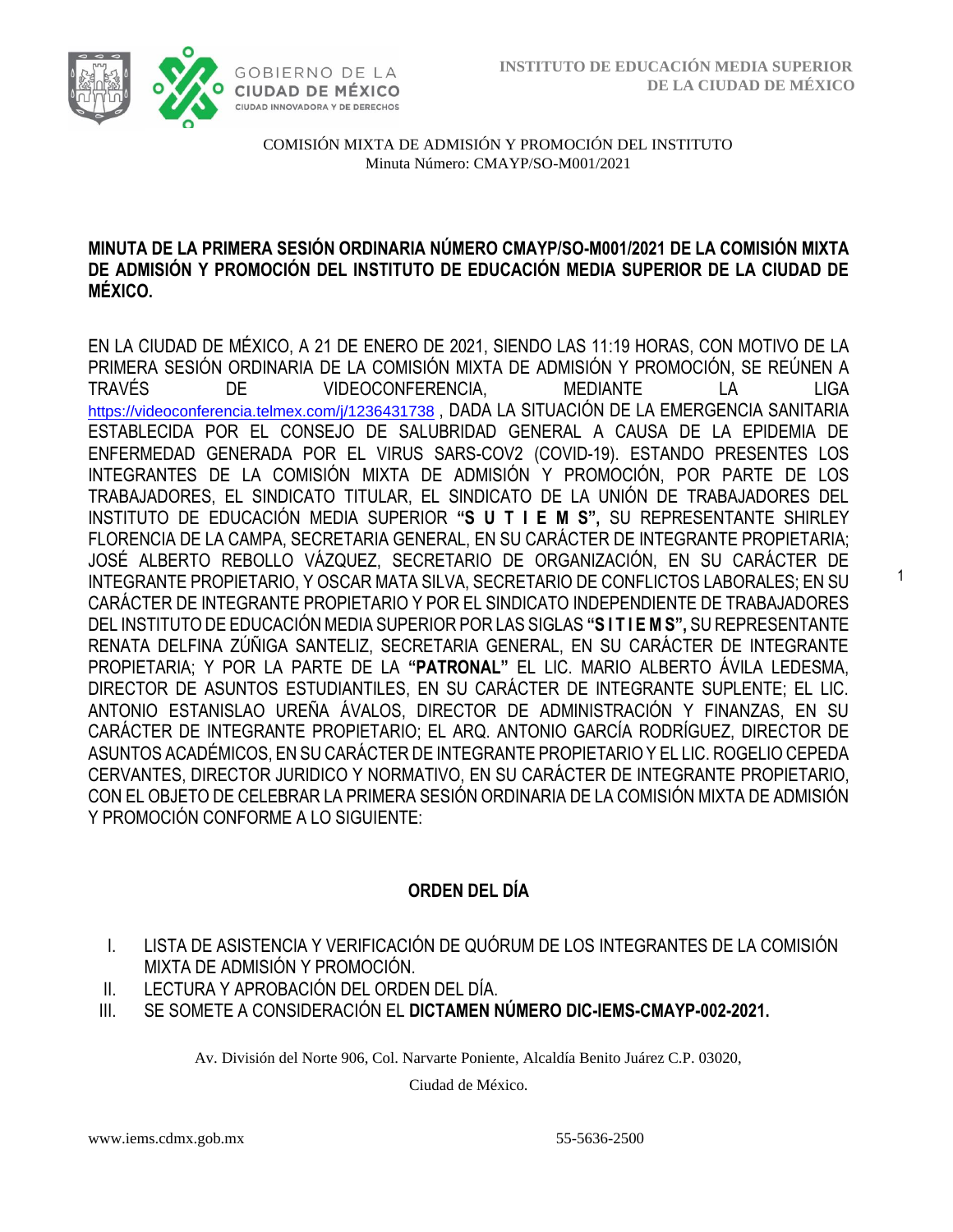1



COMISIÓN MIXTA DE ADMISIÓN Y PROMOCIÓN DEL INSTITUTO Minuta Número: CMAYP/SO-M001/2021

### **MINUTA DE LA PRIMERA SESIÓN ORDINARIA NÚMERO CMAYP/SO-M001/2021 DE LA COMISIÓN MIXTA DE ADMISIÓN Y PROMOCIÓN DEL INSTITUTO DE EDUCACIÓN MEDIA SUPERIOR DE LA CIUDAD DE MÉXICO.**

EN LA CIUDAD DE MÉXICO, A 21 DE ENERO DE 2021, SIENDO LAS 11:19 HORAS, CON MOTIVO DE LA PRIMERA SESIÓN ORDINARIA DE LA COMISIÓN MIXTA DE ADMISIÓN Y PROMOCIÓN, SE REÚNEN A TRAVÉS DE VIDEOCONFERENCIA, MEDIANTE LA LIGA <https://videoconferencia.telmex.com/j/1236431738>, DADA LA SITUACIÓN DE LA EMERGENCIA SANITARIA ESTABLECIDA POR EL CONSEJO DE SALUBRIDAD GENERAL A CAUSA DE LA EPIDEMIA DE ENFERMEDAD GENERADA POR EL VIRUS SARS-COV2 (COVID-19). ESTANDO PRESENTES LOS INTEGRANTES DE LA COMISIÓN MIXTA DE ADMISIÓN Y PROMOCIÓN, POR PARTE DE LOS TRABAJADORES, EL SINDICATO TITULAR, EL SINDICATO DE LA UNIÓN DE TRABAJADORES DEL INSTITUTO DE EDUCACIÓN MEDIA SUPERIOR **"S U T I E M S",** SU REPRESENTANTE SHIRLEY FLORENCIA DE LA CAMPA, SECRETARIA GENERAL, EN SU CARÁCTER DE INTEGRANTE PROPIETARIA; JOSÉ ALBERTO REBOLLO VÁZQUEZ, SECRETARIO DE ORGANIZACIÓN, EN SU CARÁCTER DE INTEGRANTE PROPIETARIO, Y OSCAR MATA SILVA, SECRETARIO DE CONFLICTOS LABORALES; EN SU CARÁCTER DE INTEGRANTE PROPIETARIO Y POR EL SINDICATO INDEPENDIENTE DE TRABAJADORES DEL INSTITUTO DE EDUCACIÓN MEDIA SUPERIOR POR LAS SIGLAS **"S I T I E M S",** SU REPRESENTANTE RENATA DELFINA ZÚÑIGA SANTELIZ, SECRETARIA GENERAL, EN SU CARÁCTER DE INTEGRANTE PROPIETARIA; Y POR LA PARTE DE LA **"PATRONAL"** EL LIC. MARIO ALBERTO ÁVILA LEDESMA, DIRECTOR DE ASUNTOS ESTUDIANTILES, EN SU CARÁCTER DE INTEGRANTE SUPLENTE; EL LIC. ANTONIO ESTANISLAO UREÑA ÁVALOS, DIRECTOR DE ADMINISTRACIÓN Y FINANZAS, EN SU CARÁCTER DE INTEGRANTE PROPIETARIO; EL ARQ. ANTONIO GARCÍA RODRÍGUEZ, DIRECTOR DE ASUNTOS ACADÉMICOS, EN SU CARÁCTER DE INTEGRANTE PROPIETARIO Y EL LIC. ROGELIO CEPEDA CERVANTES, DIRECTOR JURIDICO Y NORMATIVO, EN SU CARÁCTER DE INTEGRANTE PROPIETARIO, CON EL OBJETO DE CELEBRAR LA PRIMERA SESIÓN ORDINARIA DE LA COMISIÓN MIXTA DE ADMISIÓN Y PROMOCIÓN CONFORME A LO SIGUIENTE:

## **ORDEN DEL DÍA**

- I. LISTA DE ASISTENCIA Y VERIFICACIÓN DE QUÓRUM DE LOS INTEGRANTES DE LA COMISIÓN MIXTA DE ADMISIÓN Y PROMOCIÓN.
- II. LECTURA Y APROBACIÓN DEL ORDEN DEL DÍA.
- III. SE SOMETE A CONSIDERACIÓN EL **DICTAMEN NÚMERO DIC-IEMS-CMAYP-002-2021.**

Av. División del Norte 906, Col. Narvarte Poniente, Alcaldía Benito Juárez C.P. 03020,

Ciudad de México.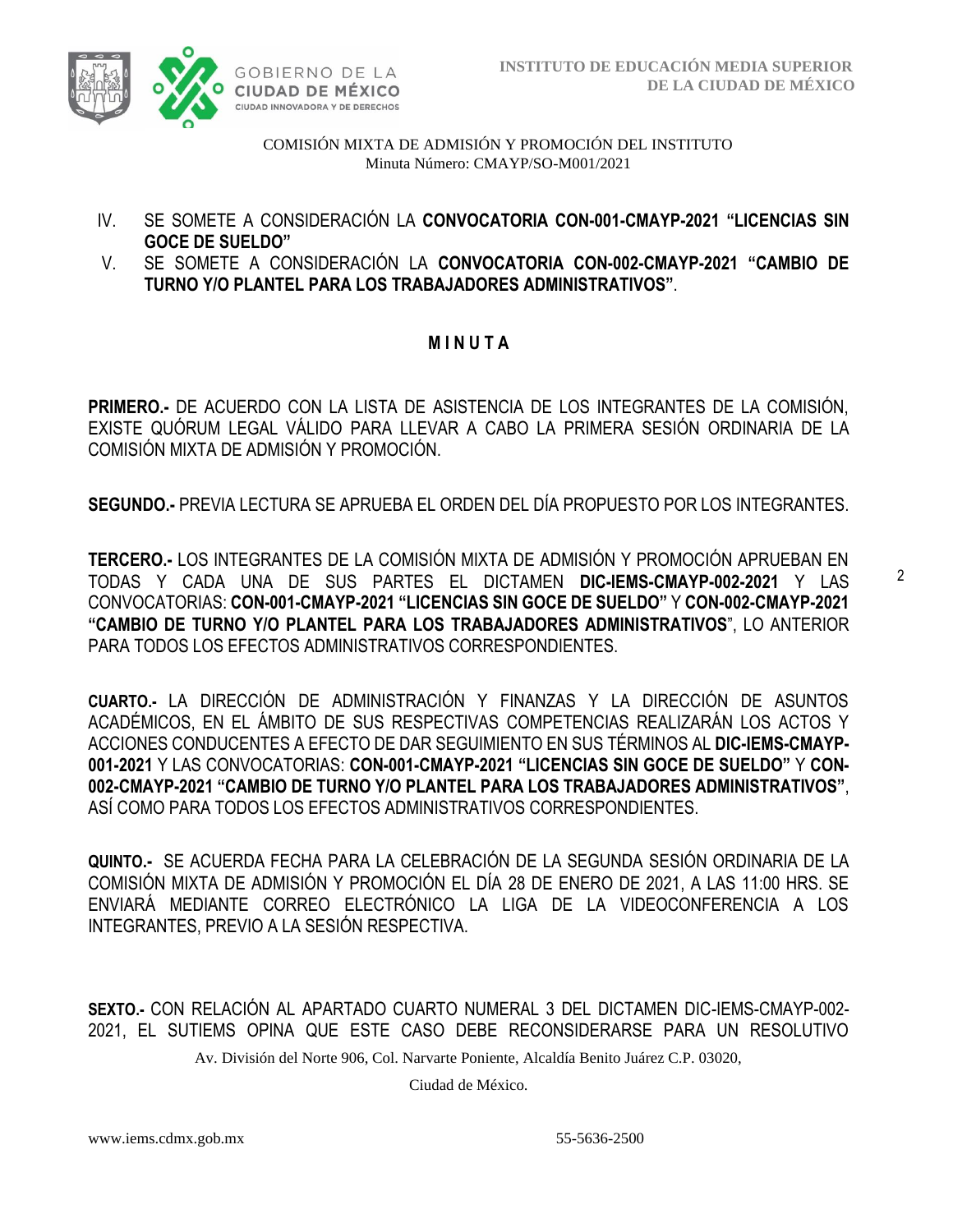

- IV. SE SOMETE A CONSIDERACIÓN LA **CONVOCATORIA CON-001-CMAYP-2021 "LICENCIAS SIN GOCE DE SUELDO"**
- V. SE SOMETE A CONSIDERACIÓN LA **CONVOCATORIA CON-002-CMAYP-2021 "CAMBIO DE TURNO Y/O PLANTEL PARA LOS TRABAJADORES ADMINISTRATIVOS"**.

### **M I N U T A**

**PRIMERO.-** DE ACUERDO CON LA LISTA DE ASISTENCIA DE LOS INTEGRANTES DE LA COMISIÓN, EXISTE QUÓRUM LEGAL VÁLIDO PARA LLEVAR A CABO LA PRIMERA SESIÓN ORDINARIA DE LA COMISIÓN MIXTA DE ADMISIÓN Y PROMOCIÓN.

**SEGUNDO.-** PREVIA LECTURA SE APRUEBA EL ORDEN DEL DÍA PROPUESTO POR LOS INTEGRANTES.

**TERCERO.-** LOS INTEGRANTES DE LA COMISIÓN MIXTA DE ADMISIÓN Y PROMOCIÓN APRUEBAN EN TODAS Y CADA UNA DE SUS PARTES EL DICTAMEN **DIC-IEMS-CMAYP-002-2021** Y LAS CONVOCATORIAS: **CON-001-CMAYP-2021 "LICENCIAS SIN GOCE DE SUELDO"** Y **CON-002-CMAYP-2021 "CAMBIO DE TURNO Y/O PLANTEL PARA LOS TRABAJADORES ADMINISTRATIVOS**", LO ANTERIOR PARA TODOS LOS EFECTOS ADMINISTRATIVOS CORRESPONDIENTES.

**CUARTO.-** LA DIRECCIÓN DE ADMINISTRACIÓN Y FINANZAS Y LA DIRECCIÓN DE ASUNTOS ACADÉMICOS, EN EL ÁMBITO DE SUS RESPECTIVAS COMPETENCIAS REALIZARÁN LOS ACTOS Y ACCIONES CONDUCENTES A EFECTO DE DAR SEGUIMIENTO EN SUS TÉRMINOS AL **DIC-IEMS-CMAYP-001-2021** Y LAS CONVOCATORIAS: **CON-001-CMAYP-2021 "LICENCIAS SIN GOCE DE SUELDO"** Y **CON-002-CMAYP-2021 "CAMBIO DE TURNO Y/O PLANTEL PARA LOS TRABAJADORES ADMINISTRATIVOS"**, ASÍ COMO PARA TODOS LOS EFECTOS ADMINISTRATIVOS CORRESPONDIENTES.

**QUINTO.-** SE ACUERDA FECHA PARA LA CELEBRACIÓN DE LA SEGUNDA SESIÓN ORDINARIA DE LA COMISIÓN MIXTA DE ADMISIÓN Y PROMOCIÓN EL DÍA 28 DE ENERO DE 2021, A LAS 11:00 HRS. SE ENVIARÁ MEDIANTE CORREO ELECTRÓNICO LA LIGA DE LA VIDEOCONFERENCIA A LOS INTEGRANTES, PREVIO A LA SESIÓN RESPECTIVA.

**SEXTO.-** CON RELACIÓN AL APARTADO CUARTO NUMERAL 3 DEL DICTAMEN DIC-IEMS-CMAYP-002- 2021, EL SUTIEMS OPINA QUE ESTE CASO DEBE RECONSIDERARSE PARA UN RESOLUTIVO

Av. División del Norte 906, Col. Narvarte Poniente, Alcaldía Benito Juárez C.P. 03020,

Ciudad de México.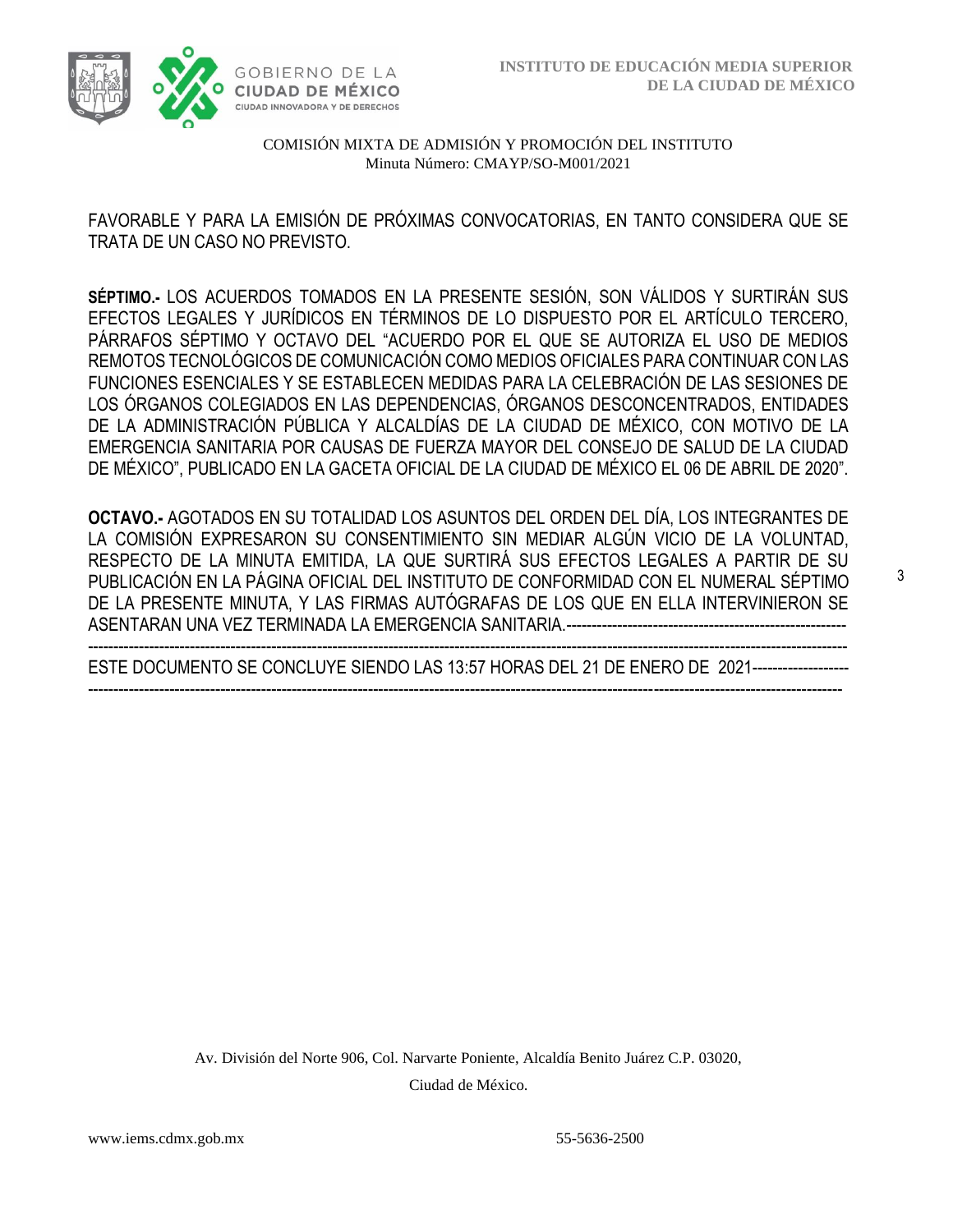

FAVORABLE Y PARA LA EMISIÓN DE PRÓXIMAS CONVOCATORIAS, EN TANTO CONSIDERA QUE SE TRATA DE UN CASO NO PREVISTO.

**SÉPTIMO.-** LOS ACUERDOS TOMADOS EN LA PRESENTE SESIÓN, SON VÁLIDOS Y SURTIRÁN SUS EFECTOS LEGALES Y JURÍDICOS EN TÉRMINOS DE LO DISPUESTO POR EL ARTÍCULO TERCERO, PÁRRAFOS SÉPTIMO Y OCTAVO DEL "ACUERDO POR EL QUE SE AUTORIZA EL USO DE MEDIOS REMOTOS TECNOLÓGICOS DE COMUNICACIÓN COMO MEDIOS OFICIALES PARA CONTINUAR CON LAS FUNCIONES ESENCIALES Y SE ESTABLECEN MEDIDAS PARA LA CELEBRACIÓN DE LAS SESIONES DE LOS ÓRGANOS COLEGIADOS EN LAS DEPENDENCIAS, ÓRGANOS DESCONCENTRADOS, ENTIDADES DE LA ADMINISTRACIÓN PÚBLICA Y ALCALDÍAS DE LA CIUDAD DE MÉXICO, CON MOTIVO DE LA EMERGENCIA SANITARIA POR CAUSAS DE FUERZA MAYOR DEL CONSEJO DE SALUD DE LA CIUDAD DE MÉXICO", PUBLICADO EN LA GACETA OFICIAL DE LA CIUDAD DE MÉXICO EL 06 DE ABRIL DE 2020".

**OCTAVO.-** AGOTADOS EN SU TOTALIDAD LOS ASUNTOS DEL ORDEN DEL DÍA, LOS INTEGRANTES DE LA COMISIÓN EXPRESARON SU CONSENTIMIENTO SIN MEDIAR ALGÚN VICIO DE LA VOLUNTAD, RESPECTO DE LA MINUTA EMITIDA, LA QUE SURTIRÁ SUS EFECTOS LEGALES A PARTIR DE SU PUBLICACIÓN EN LA PÁGINA OFICIAL DEL INSTITUTO DE CONFORMIDAD CON EL NUMERAL SÉPTIMO DE LA PRESENTE MINUTA, Y LAS FIRMAS AUTÓGRAFAS DE LOS QUE EN ELLA INTERVINIERON SE ASENTARAN UNA VEZ TERMINADA LA EMERGENCIA SANITARIA.-------------------------------------------------------

----------------------------------------------------------------------------------------------------------------------------------------------------- ESTE DOCUMENTO SE CONCLUYE SIENDO LAS 13:57 HORAS DEL 21 DE ENERO DE 2021------------------- ----------------------------------------------------------------------------------------------------------------------------------------------------

> Av. División del Norte 906, Col. Narvarte Poniente, Alcaldía Benito Juárez C.P. 03020, Ciudad de México.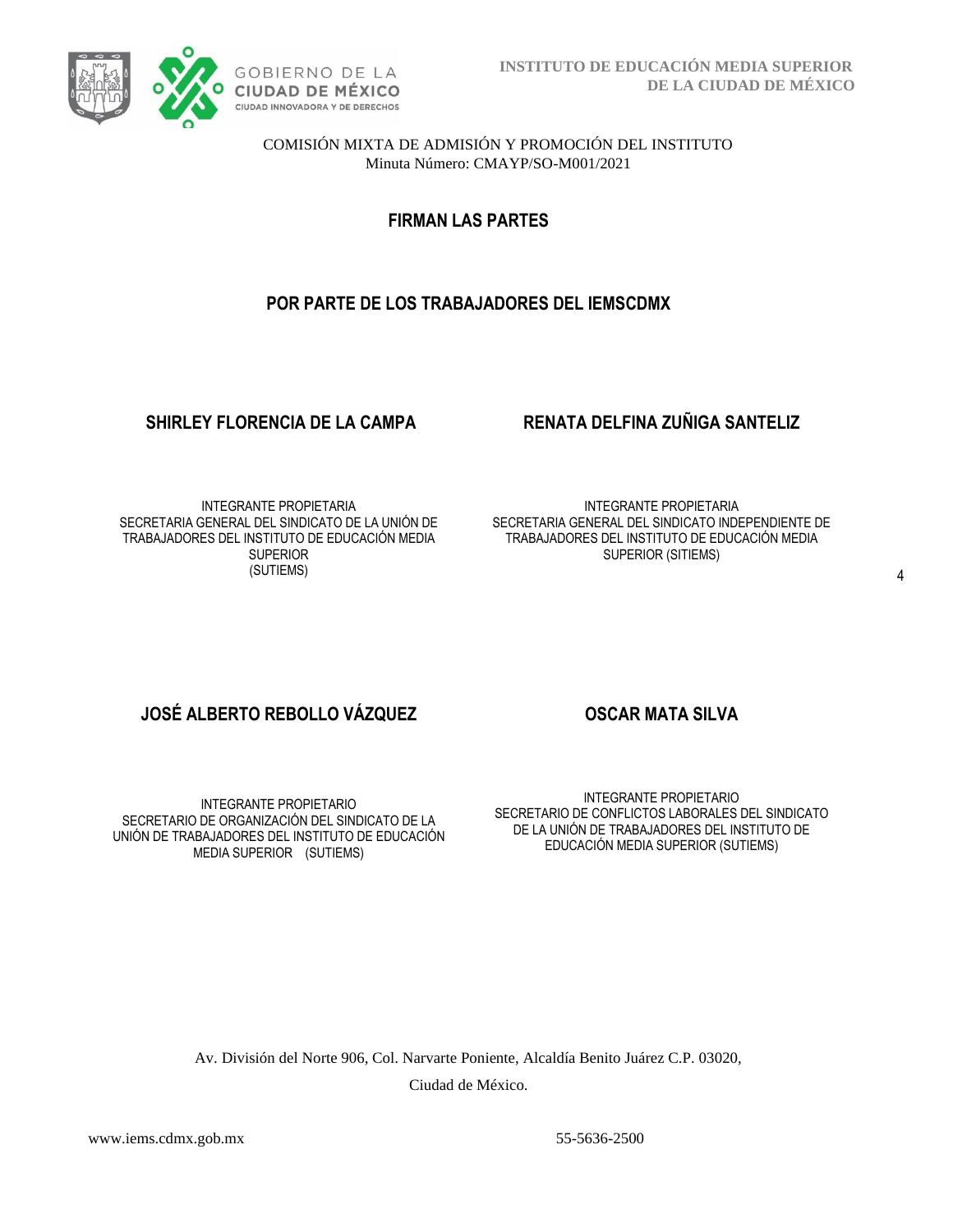

**FIRMAN LAS PARTES**

# **POR PARTE DE LOS TRABAJADORES DEL IEMSCDMX**

## **SHIRLEY FLORENCIA DE LA CAMPA RENATA DELFINA ZUÑIGA SANTELIZ**

INTEGRANTE PROPIETARIA SECRETARIA GENERAL DEL SINDICATO DE LA UNIÓN DE TRABAJADORES DEL INSTITUTO DE EDUCACIÓN MEDIA **SUPERIOR** (SUTIEMS)

INTEGRANTE PROPIETARIA SECRETARIA GENERAL DEL SINDICATO INDEPENDIENTE DE TRABAJADORES DEL INSTITUTO DE EDUCACIÓN MEDIA SUPERIOR (SITIEMS)

# **JOSÉ ALBERTO REBOLLO VÁZQUEZ OSCAR MATA SILVA**

INTEGRANTE PROPIETARIO SECRETARIO DE ORGANIZACIÓN DEL SINDICATO DE LA UNIÓN DE TRABAJADORES DEL INSTITUTO DE EDUCACIÓN MEDIA SUPERIOR (SUTIEMS)

INTEGRANTE PROPIETARIO SECRETARIO DE CONFLICTOS LABORALES DEL SINDICATO DE LA UNIÓN DE TRABAJADORES DEL INSTITUTO DE EDUCACIÓN MEDIA SUPERIOR (SUTIEMS)

Av. División del Norte 906, Col. Narvarte Poniente, Alcaldía Benito Juárez C.P. 03020, Ciudad de México.